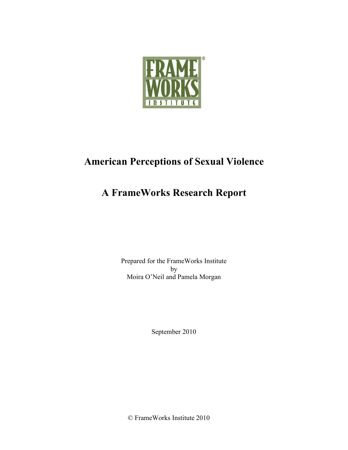

# **American Perceptions of Sexual Violence**

# **A FrameWorks Research Report**

Prepared for the FrameWorks Institute by Moira O'Neil and Pamela Morgan

September 2010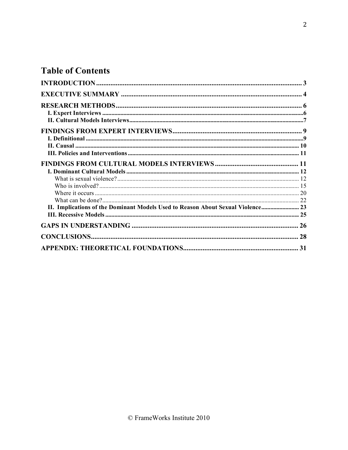# **Table of Contents**

| II. Implications of the Dominant Models Used to Reason About Sexual Violence 23 |    |
|---------------------------------------------------------------------------------|----|
|                                                                                 |    |
|                                                                                 |    |
|                                                                                 | 28 |
|                                                                                 |    |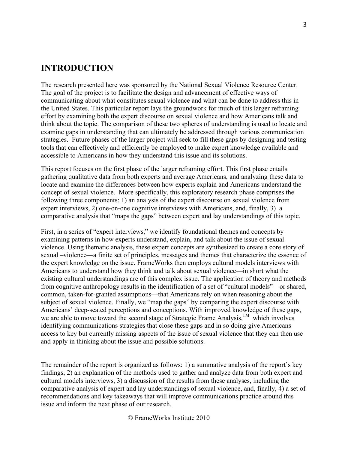# **INTRODUCTION**

The research presented here was sponsored by the National Sexual Violence Resource Center. The goal of the project is to facilitate the design and advancement of effective ways of communicating about what constitutes sexual violence and what can be done to address this in the United States. This particular report lays the groundwork for much of this larger reframing effort by examining both the expert discourse on sexual violence and how Americans talk and think about the topic. The comparison of these two spheres of understanding is used to locate and examine gaps in understanding that can ultimately be addressed through various communication strategies. Future phases of the larger project will seek to fill these gaps by designing and testing tools that can effectively and efficiently be employed to make expert knowledge available and accessible to Americans in how they understand this issue and its solutions.

This report focuses on the first phase of the larger reframing effort. This first phase entails gathering qualitative data from both experts and average Americans, and analyzing these data to locate and examine the differences between how experts explain and Americans understand the concept of sexual violence. More specifically, this exploratory research phase comprises the following three components: 1) an analysis of the expert discourse on sexual violence from expert interviews, 2) one-on-one cognitive interviews with Americans, and, finally, 3) a comparative analysis that "maps the gaps" between expert and lay understandings of this topic.

First, in a series of "expert interviews," we identify foundational themes and concepts by examining patterns in how experts understand, explain, and talk about the issue of sexual violence. Using thematic analysis, these expert concepts are synthesized to create a core story of sexual –violence—a finite set of principles, messages and themes that characterize the essence of the expert knowledge on the issue. FrameWorks then employs cultural models interviews with Americans to understand how they think and talk about sexual violence—in short what the existing cultural understandings are of this complex issue. The application of theory and methods from cognitive anthropology results in the identification of a set of "cultural models"—or shared, common, taken-for-granted assumptions—that Americans rely on when reasoning about the subject of sexual violence. Finally, we "map the gaps" by comparing the expert discourse with Americans' deep-seated perceptions and conceptions. With improved knowledge of these gaps, we are able to move toward the second stage of Strategic Frame Analysis,  $^{TM}$  which involves identifying communications strategies that close these gaps and in so doing give Americans access to key but currently missing aspects of the issue of sexual violence that they can then use and apply in thinking about the issue and possible solutions.

The remainder of the report is organized as follows: 1) a summative analysis of the report's key findings, 2) an explanation of the methods used to gather and analyze data from both expert and cultural models interviews, 3) a discussion of the results from these analyses, including the comparative analysis of expert and lay understandings of sexual violence, and, finally, 4) a set of recommendations and key takeaways that will improve communications practice around this issue and inform the next phase of our research.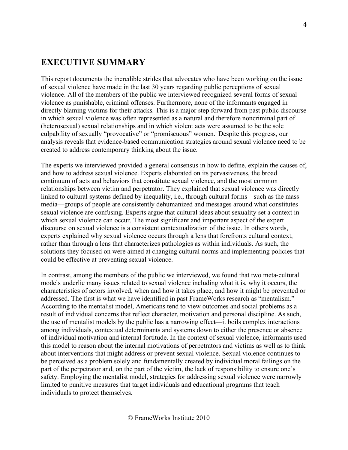# **EXECUTIVE SUMMARY**

This report documents the incredible strides that advocates who have been working on the issue of sexual violence have made in the last 30 years regarding public perceptions of sexual violence. All of the members of the public we interviewed recognized several forms of sexual violence as punishable, criminal offenses. Furthermore, none of the informants engaged in directly blaming victims for their attacks. This is a major step forward from past public discourse in which sexual violence was often represented as a natural and therefore noncriminal part of (heterosexual) sexual relationships and in which violent acts were assumed to be the sole culpability of sexually "provocative" or "promiscuous" women.<sup>1</sup> Despite this progress, our analysis reveals that evidence-based communication strategies around sexual violence need to be created to address contemporary thinking about the issue.

The experts we interviewed provided a general consensus in how to define, explain the causes of, and how to address sexual violence. Experts elaborated on its pervasiveness, the broad continuum of acts and behaviors that constitute sexual violence, and the most common relationships between victim and perpetrator. They explained that sexual violence was directly linked to cultural systems defined by inequality, i.e., through cultural forms—such as the mass media—groups of people are consistently dehumanized and messages around what constitutes sexual violence are confusing. Experts argue that cultural ideas about sexuality set a context in which sexual violence can occur. The most significant and important aspect of the expert discourse on sexual violence is a consistent contextualization of the issue. In others words, experts explained why sexual violence occurs through a lens that forefronts cultural context, rather than through a lens that characterizes pathologies as within individuals. As such, the solutions they focused on were aimed at changing cultural norms and implementing policies that could be effective at preventing sexual violence.

In contrast, among the members of the public we interviewed, we found that two meta-cultural models underlie many issues related to sexual violence including what it is, why it occurs, the characteristics of actors involved, when and how it takes place, and how it might be prevented or addressed. The first is what we have identified in past FrameWorks research as "mentalism." According to the mentalist model, Americans tend to view outcomes and social problems as a result of individual concerns that reflect character, motivation and personal discipline. As such, the use of mentalist models by the public has a narrowing effect—it boils complex interactions among individuals, contextual determinants and systems down to either the presence or absence of individual motivation and internal fortitude. In the context of sexual violence, informants used this model to reason about the internal motivations of perpetrators and victims as well as to think about interventions that might address or prevent sexual violence. Sexual violence continues to be perceived as a problem solely and fundamentally created by individual moral failings on the part of the perpetrator and, on the part of the victim, the lack of responsibility to ensure one's safety. Employing the mentalist model, strategies for addressing sexual violence were narrowly limited to punitive measures that target individuals and educational programs that teach individuals to protect themselves.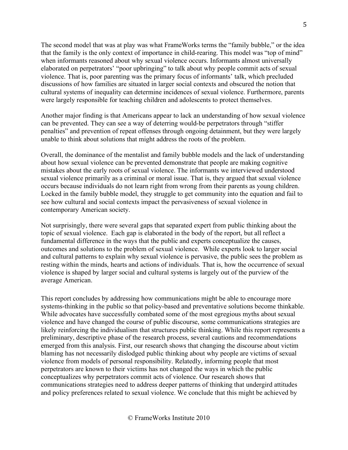The second model that was at play was what FrameWorks terms the "family bubble," or the idea that the family is the only context of importance in child-rearing. This model was "top of mind" when informants reasoned about why sexual violence occurs. Informants almost universally elaborated on perpetrators' "poor upbringing" to talk about why people commit acts of sexual violence. That is, poor parenting was the primary focus of informants' talk, which precluded discussions of how families are situated in larger social contexts and obscured the notion that cultural systems of inequality can determine incidences of sexual violence. Furthermore, parents were largely responsible for teaching children and adolescents to protect themselves.

Another major finding is that Americans appear to lack an understanding of how sexual violence can be prevented. They can see a way of deterring would-be perpetrators through "stiffer penalties" and prevention of repeat offenses through ongoing detainment, but they were largely unable to think about solutions that might address the roots of the problem.

Overall, the dominance of the mentalist and family bubble models and the lack of understanding about how sexual violence can be prevented demonstrate that people are making cognitive mistakes about the early roots of sexual violence. The informants we interviewed understood sexual violence primarily as a criminal or moral issue. That is, they argued that sexual violence occurs because individuals do not learn right from wrong from their parents as young children. Locked in the family bubble model, they struggle to get community into the equation and fail to see how cultural and social contexts impact the pervasiveness of sexual violence in contemporary American society.

Not surprisingly, there were several gaps that separated expert from public thinking about the topic of sexual violence. Each gap is elaborated in the body of the report, but all reflect a fundamental difference in the ways that the public and experts conceptualize the causes, outcomes and solutions to the problem of sexual violence. While experts look to larger social and cultural patterns to explain why sexual violence is pervasive, the public sees the problem as resting within the minds, hearts and actions of individuals. That is, how the occurrence of sexual violence is shaped by larger social and cultural systems is largely out of the purview of the average American.

This report concludes by addressing how communications might be able to encourage more systems-thinking in the public so that policy-based and preventative solutions become thinkable. While advocates have successfully combated some of the most egregious myths about sexual violence and have changed the course of public discourse, some communications strategies are likely reinforcing the individualism that structures public thinking. While this report represents a preliminary, descriptive phase of the research process, several cautions and recommendations emerged from this analysis. First, our research shows that changing the discourse about victim blaming has not necessarily dislodged public thinking about why people are victims of sexual violence from models of personal responsibility. Relatedly, informing people that most perpetrators are known to their victims has not changed the ways in which the public conceptualizes why perpetrators commit acts of violence. Our research shows that communications strategies need to address deeper patterns of thinking that undergird attitudes and policy preferences related to sexual violence. We conclude that this might be achieved by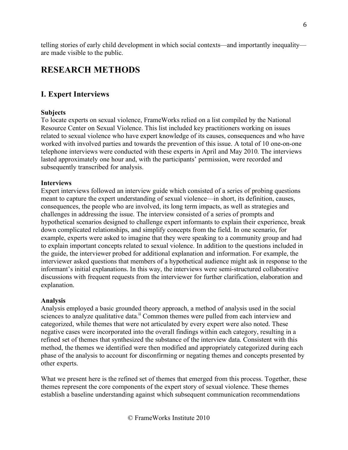telling stories of early child development in which social contexts—and importantly inequality are made visible to the public.

# **RESEARCH METHODS**

## **I. Expert Interviews**

#### **Subjects**

To locate experts on sexual violence, FrameWorks relied on a list compiled by the National Resource Center on Sexual Violence. This list included key practitioners working on issues related to sexual violence who have expert knowledge of its causes, consequences and who have worked with involved parties and towards the prevention of this issue. A total of 10 one-on-one telephone interviews were conducted with these experts in April and May 2010. The interviews lasted approximately one hour and, with the participants' permission, were recorded and subsequently transcribed for analysis.

#### **Interviews**

Expert interviews followed an interview guide which consisted of a series of probing questions meant to capture the expert understanding of sexual violence—in short, its definition, causes, consequences, the people who are involved, its long term impacts, as well as strategies and challenges in addressing the issue. The interview consisted of a series of prompts and hypothetical scenarios designed to challenge expert informants to explain their experience, break down complicated relationships, and simplify concepts from the field. In one scenario, for example, experts were asked to imagine that they were speaking to a community group and had to explain important concepts related to sexual violence. In addition to the questions included in the guide, the interviewer probed for additional explanation and information. For example, the interviewer asked questions that members of a hypothetical audience might ask in response to the informant's initial explanations. In this way, the interviews were semi-structured collaborative discussions with frequent requests from the interviewer for further clarification, elaboration and explanation.

#### **Analysis**

Analysis employed a basic grounded theory approach, a method of analysis used in the social sciences to analyze qualitative data.<sup>ii</sup> Common themes were pulled from each interview and categorized, while themes that were not articulated by every expert were also noted. These negative cases were incorporated into the overall findings within each category, resulting in a refined set of themes that synthesized the substance of the interview data. Consistent with this method, the themes we identified were then modified and appropriately categorized during each phase of the analysis to account for disconfirming or negating themes and concepts presented by other experts.

What we present here is the refined set of themes that emerged from this process. Together, these themes represent the core components of the expert story of sexual violence. These themes establish a baseline understanding against which subsequent communication recommendations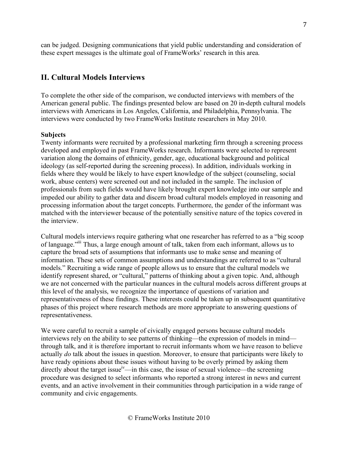can be judged. Designing communications that yield public understanding and consideration of these expert messages is the ultimate goal of FrameWorks' research in this area.

## **II. Cultural Models Interviews**

To complete the other side of the comparison, we conducted interviews with members of the American general public. The findings presented below are based on 20 in-depth cultural models interviews with Americans in Los Angeles, California, and Philadelphia, Pennsylvania. The interviews were conducted by two FrameWorks Institute researchers in May 2010.

#### **Subjects**

Twenty informants were recruited by a professional marketing firm through a screening process developed and employed in past FrameWorks research. Informants were selected to represent variation along the domains of ethnicity, gender, age, educational background and political ideology (as self-reported during the screening process). In addition, individuals working in fields where they would be likely to have expert knowledge of the subject (counseling, social work, abuse centers) were screened out and not included in the sample. The inclusion of professionals from such fields would have likely brought expert knowledge into our sample and impeded our ability to gather data and discern broad cultural models employed in reasoning and processing information about the target concepts. Furthermore, the gender of the informant was matched with the interviewer because of the potentially sensitive nature of the topics covered in the interview.

Cultural models interviews require gathering what one researcher has referred to as a "big scoop of language."iii Thus, a large enough amount of talk, taken from each informant, allows us to capture the broad sets of assumptions that informants use to make sense and meaning of information. These sets of common assumptions and understandings are referred to as "cultural models." Recruiting a wide range of people allows us to ensure that the cultural models we identify represent shared, or "cultural," patterns of thinking about a given topic. And, although we are not concerned with the particular nuances in the cultural models across different groups at this level of the analysis, we recognize the importance of questions of variation and representativeness of these findings. These interests could be taken up in subsequent quantitative phases of this project where research methods are more appropriate to answering questions of representativeness.

We were careful to recruit a sample of civically engaged persons because cultural models interviews rely on the ability to see patterns of thinking—the expression of models in mind through talk, and it is therefore important to recruit informants whom we have reason to believe actually *do* talk about the issues in question. Moreover, to ensure that participants were likely to have ready opinions about these issues without having to be overly primed by asking them directly about the target issue<sup>iv</sup>—in this case, the issue of sexual violence—the screening procedure was designed to select informants who reported a strong interest in news and current events, and an active involvement in their communities through participation in a wide range of community and civic engagements.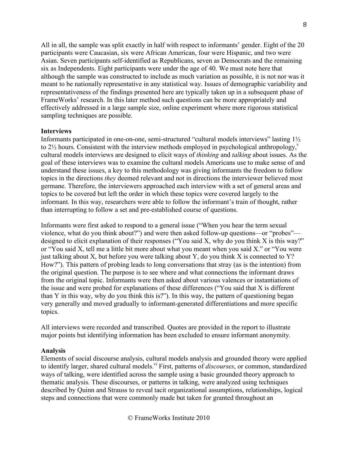All in all, the sample was split exactly in half with respect to informants' gender. Eight of the 20 participants were Caucasian, six were African American, four were Hispanic, and two were Asian. Seven participants self-identified as Republicans, seven as Democrats and the remaining six as Independents. Eight participants were under the age of 40. We must note here that although the sample was constructed to include as much variation as possible, it is not nor was it meant to be nationally representative in any statistical way. Issues of demographic variability and representativeness of the findings presented here are typically taken up in a subsequent phase of FrameWorks' research. In this later method such questions can be more appropriately and effectively addressed in a large sample size, online experiment where more rigorous statistical sampling techniques are possible.

#### **Interviews**

Informants participated in one-on-one, semi-structured "cultural models interviews" lasting 1½ to  $2\frac{1}{2}$  hours. Consistent with the interview methods employed in psychological anthropology,<sup>v</sup> cultural models interviews are designed to elicit ways of *thinking* and *talking* about issues. As the goal of these interviews was to examine the cultural models Americans use to make sense of and understand these issues, a key to this methodology was giving informants the freedom to follow topics in the directions *they* deemed relevant and not in directions the interviewer believed most germane. Therefore, the interviewers approached each interview with a set of general areas and topics to be covered but left the order in which these topics were covered largely to the informant. In this way, researchers were able to follow the informant's train of thought, rather than interrupting to follow a set and pre-established course of questions.

Informants were first asked to respond to a general issue ("When you hear the term sexual violence, what do you think about?") and were then asked follow-up questions—or "probes" designed to elicit explanation of their responses ("You said X, why do you think X is this way?" or "You said X, tell me a little bit more about what you meant when you said X." or "You were just talking about X, but before you were talking about Y, do you think X is connected to  $Y$ ? How?"). This pattern of probing leads to long conversations that stray (as is the intention) from the original question. The purpose is to see where and what connections the informant draws from the original topic. Informants were then asked about various valences or instantiations of the issue and were probed for explanations of these differences ("You said that X is different than Y in this way, why do you think this is?"). In this way, the pattern of questioning began very generally and moved gradually to informant-generated differentiations and more specific topics.

All interviews were recorded and transcribed. Quotes are provided in the report to illustrate major points but identifying information has been excluded to ensure informant anonymity.

#### **Analysis**

Elements of social discourse analysis, cultural models analysis and grounded theory were applied to identify larger, shared cultural models.<sup>vi</sup> First, patterns of *discourses*, or common, standardized ways of talking, were identified across the sample using a basic grounded theory approach to thematic analysis. These discourses, or patterns in talking, were analyzed using techniques described by Quinn and Strauss to reveal tacit organizational assumptions, relationships, logical steps and connections that were commonly made but taken for granted throughout an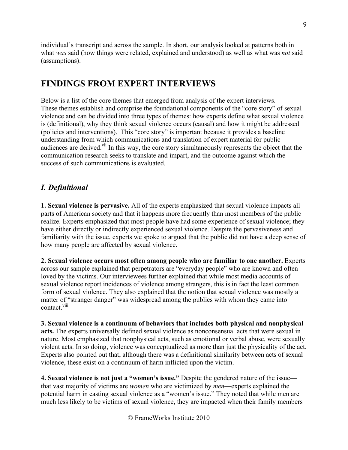individual's transcript and across the sample. In short, our analysis looked at patterns both in what *was* said (how things were related, explained and understood) as well as what was *not* said (assumptions).

# **FINDINGS FROM EXPERT INTERVIEWS**

Below is a list of the core themes that emerged from analysis of the expert interviews. These themes establish and comprise the foundational components of the "core story" of sexual violence and can be divided into three types of themes: how experts define what sexual violence is (definitional), why they think sexual violence occurs (causal) and how it might be addressed (policies and interventions). This "core story" is important because it provides a baseline understanding from which communications and translation of expert material for public audiences are derived.<sup>vii</sup> In this way, the core story simultaneously represents the object that the communication research seeks to translate and impart, and the outcome against which the success of such communications is evaluated.

# *I. Definitional*

**1. Sexual violence is pervasive.** All of the experts emphasized that sexual violence impacts all parts of American society and that it happens more frequently than most members of the public realize. Experts emphasized that most people have had some experience of sexual violence; they have either directly or indirectly experienced sexual violence. Despite the pervasiveness and familiarity with the issue, experts we spoke to argued that the public did not have a deep sense of how many people are affected by sexual violence.

**2. Sexual violence occurs most often among people who are familiar to one another.** Experts across our sample explained that perpetrators are "everyday people" who are known and often loved by the victims. Our interviewees further explained that while most media accounts of sexual violence report incidences of violence among strangers, this is in fact the least common form of sexual violence. They also explained that the notion that sexual violence was mostly a matter of "stranger danger" was widespread among the publics with whom they came into contact viii

**3. Sexual violence is a continuum of behaviors that includes both physical and nonphysical acts.** The experts universally defined sexual violence as nonconsensual acts that were sexual in nature. Most emphasized that nonphysical acts, such as emotional or verbal abuse, were sexually violent acts. In so doing, violence was conceptualized as more than just the physicality of the act. Experts also pointed out that, although there was a definitional similarity between acts of sexual violence, these exist on a continuum of harm inflicted upon the victim.

**4. Sexual violence is not just a "women's issue."** Despite the gendered nature of the issue that vast majority of victims are *women* who are victimized by *men*—experts explained the potential harm in casting sexual violence as a "women's issue." They noted that while men are much less likely to be victims of sexual violence, they are impacted when their family members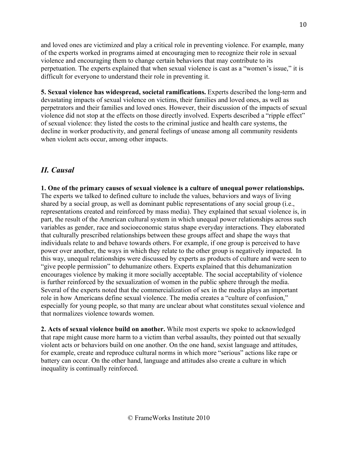and loved ones are victimized and play a critical role in preventing violence. For example, many of the experts worked in programs aimed at encouraging men to recognize their role in sexual violence and encouraging them to change certain behaviors that may contribute to its perpetuation. The experts explained that when sexual violence is cast as a "women's issue," it is difficult for everyone to understand their role in preventing it.

**5. Sexual violence has widespread, societal ramifications.** Experts described the long-term and devastating impacts of sexual violence on victims, their families and loved ones, as well as perpetrators and their families and loved ones. However, their discussion of the impacts of sexual violence did not stop at the effects on those directly involved. Experts described a "ripple effect" of sexual violence: they listed the costs to the criminal justice and health care systems, the decline in worker productivity, and general feelings of unease among all community residents when violent acts occur, among other impacts.

# *II. Causal*

**1. One of the primary causes of sexual violence is a culture of unequal power relationships.**  The experts we talked to defined culture to include the values, behaviors and ways of living shared by a social group, as well as dominant public representations of any social group (i.e., representations created and reinforced by mass media). They explained that sexual violence is, in part, the result of the American cultural system in which unequal power relationships across such variables as gender, race and socioeconomic status shape everyday interactions. They elaborated that culturally prescribed relationships between these groups affect and shape the ways that individuals relate to and behave towards others. For example, if one group is perceived to have power over another, the ways in which they relate to the other group is negatively impacted. In this way, unequal relationships were discussed by experts as products of culture and were seen to "give people permission" to dehumanize others. Experts explained that this dehumanization encourages violence by making it more socially acceptable. The social acceptability of violence is further reinforced by the sexualization of women in the public sphere through the media. Several of the experts noted that the commercialization of sex in the media plays an important role in how Americans define sexual violence. The media creates a "culture of confusion," especially for young people, so that many are unclear about what constitutes sexual violence and that normalizes violence towards women.

**2. Acts of sexual violence build on another.** While most experts we spoke to acknowledged that rape might cause more harm to a victim than verbal assaults, they pointed out that sexually violent acts or behaviors build on one another. On the one hand, sexist language and attitudes, for example, create and reproduce cultural norms in which more "serious" actions like rape or battery can occur. On the other hand, language and attitudes also create a culture in which inequality is continually reinforced.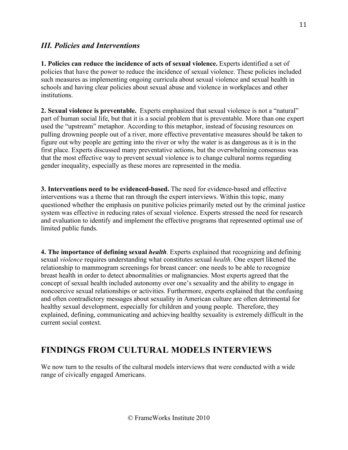## *III. Policies and Interventions*

**1. Policies can reduce the incidence of acts of sexual violence.** Experts identified a set of policies that have the power to reduce the incidence of sexual violence. These policies included such measures as implementing ongoing curricula about sexual violence and sexual health in schools and having clear policies about sexual abuse and violence in workplaces and other institutions.

**2. Sexual violence is preventable.** Experts emphasized that sexual violence is not a "natural" part of human social life, but that it is a social problem that is preventable. More than one expert used the "upstream" metaphor. According to this metaphor, instead of focusing resources on pulling drowning people out of a river, more effective preventative measures should be taken to figure out why people are getting into the river or why the water is as dangerous as it is in the first place. Experts discussed many preventative actions, but the overwhelming consensus was that the most effective way to prevent sexual violence is to change cultural norms regarding gender inequality, especially as these mores are represented in the media.

**3. Interventions need to be evidenced-based.** The need for evidence-based and effective interventions was a theme that ran through the expert interviews. Within this topic, many questioned whether the emphasis on punitive policies primarily meted out by the criminal justice system was effective in reducing rates of sexual violence. Experts stressed the need for research and evaluation to identify and implement the effective programs that represented optimal use of limited public funds.

**4. The importance of defining sexual** *health*. Experts explained that recognizing and defining sexual *violence* requires understanding what constitutes sexual *health*. One expert likened the relationship to mammogram screenings for breast cancer: one needs to be able to recognize breast health in order to detect abnormalities or malignancies. Most experts agreed that the concept of sexual health included autonomy over one's sexuality and the ability to engage in noncoercive sexual relationships or activities. Furthermore, experts explained that the confusing and often contradictory messages about sexuality in American culture are often detrimental for healthy sexual development, especially for children and young people. Therefore, they explained, defining, communicating and achieving healthy sexuality is extremely difficult in the current social context.

# **FINDINGS FROM CULTURAL MODELS INTERVIEWS**

We now turn to the results of the cultural models interviews that were conducted with a wide range of civically engaged Americans.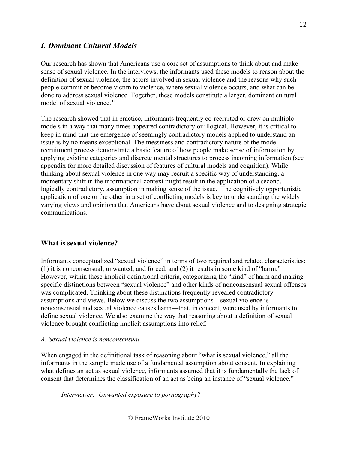### *I. Dominant Cultural Models*

Our research has shown that Americans use a core set of assumptions to think about and make sense of sexual violence. In the interviews, the informants used these models to reason about the definition of sexual violence, the actors involved in sexual violence and the reasons why such people commit or become victim to violence, where sexual violence occurs, and what can be done to address sexual violence. Together, these models constitute a larger, dominant cultural model of sexual violence.<sup>1x</sup>

The research showed that in practice, informants frequently co-recruited or drew on multiple models in a way that many times appeared contradictory or illogical. However, it is critical to keep in mind that the emergence of seemingly contradictory models applied to understand an issue is by no means exceptional. The messiness and contradictory nature of the modelrecruitment process demonstrate a basic feature of how people make sense of information by applying existing categories and discrete mental structures to process incoming information (see appendix for more detailed discussion of features of cultural models and cognition). While thinking about sexual violence in one way may recruit a specific way of understanding, a momentary shift in the informational context might result in the application of a second, logically contradictory, assumption in making sense of the issue. The cognitively opportunistic application of one or the other in a set of conflicting models is key to understanding the widely varying views and opinions that Americans have about sexual violence and to designing strategic communications.

#### **What is sexual violence?**

Informants conceptualized "sexual violence" in terms of two required and related characteristics: (1) it is nonconsensual, unwanted, and forced; and (2) it results in some kind of "harm." However, within these implicit definitional criteria, categorizing the "kind" of harm and making specific distinctions between "sexual violence" and other kinds of nonconsensual sexual offenses was complicated. Thinking about these distinctions frequently revealed contradictory assumptions and views. Below we discuss the two assumptions—sexual violence is nonconsensual and sexual violence causes harm—that, in concert, were used by informants to define sexual violence. We also examine the way that reasoning about a definition of sexual violence brought conflicting implicit assumptions into relief.

#### *A. Sexual violence is nonconsensual*

When engaged in the definitional task of reasoning about "what is sexual violence," all the informants in the sample made use of a fundamental assumption about consent. In explaining what defines an act as sexual violence, informants assumed that it is fundamentally the lack of consent that determines the classification of an act as being an instance of "sexual violence."

*Interviewer: Unwanted exposure to pornography?*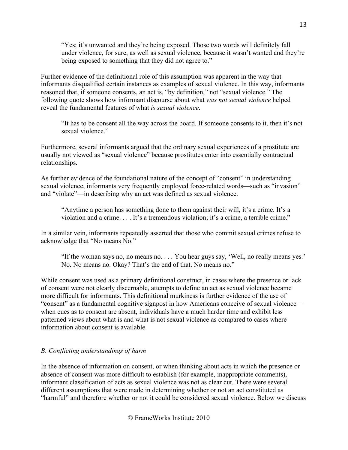"Yes; it's unwanted and they're being exposed. Those two words will definitely fall under violence, for sure, as well as sexual violence, because it wasn't wanted and they're being exposed to something that they did not agree to."

Further evidence of the definitional role of this assumption was apparent in the way that informants disqualified certain instances as examples of sexual violence. In this way, informants reasoned that, if someone consents, an act is, "by definition," not "sexual violence." The following quote shows how informant discourse about what *was not sexual violence* helped reveal the fundamental features of what *is sexual violence*.

"It has to be consent all the way across the board. If someone consents to it, then it's not sexual violence"

Furthermore, several informants argued that the ordinary sexual experiences of a prostitute are usually not viewed as "sexual violence" because prostitutes enter into essentially contractual relationships.

As further evidence of the foundational nature of the concept of "consent" in understanding sexual violence, informants very frequently employed force-related words—such as "invasion" and "violate"—in describing why an act was defined as sexual violence.

"Anytime a person has something done to them against their will, it's a crime. It's a violation and a crime. . . . It's a tremendous violation; it's a crime, a terrible crime."

In a similar vein, informants repeatedly asserted that those who commit sexual crimes refuse to acknowledge that "No means No."

"If the woman says no, no means no. . . . You hear guys say, 'Well, no really means yes.' No. No means no. Okay? That's the end of that. No means no."

While consent was used as a primary definitional construct, in cases where the presence or lack of consent were not clearly discernable, attempts to define an act as sexual violence became more difficult for informants. This definitional murkiness is further evidence of the use of "consent" as a fundamental cognitive signpost in how Americans conceive of sexual violence when cues as to consent are absent, individuals have a much harder time and exhibit less patterned views about what is and what is not sexual violence as compared to cases where information about consent is available.

### *B. Conflicting understandings of harm*

In the absence of information on consent, or when thinking about acts in which the presence or absence of consent was more difficult to establish (for example, inappropriate comments), informant classification of acts as sexual violence was not as clear cut. There were several different assumptions that were made in determining whether or not an act constituted as "harmful" and therefore whether or not it could be considered sexual violence. Below we discuss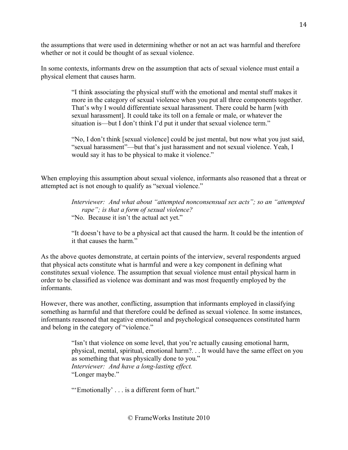the assumptions that were used in determining whether or not an act was harmful and therefore whether or not it could be thought of as sexual violence.

In some contexts, informants drew on the assumption that acts of sexual violence must entail a physical element that causes harm.

> "I think associating the physical stuff with the emotional and mental stuff makes it more in the category of sexual violence when you put all three components together. That's why I would differentiate sexual harassment. There could be harm [with sexual harassment]. It could take its toll on a female or male, or whatever the situation is—but I don't think I'd put it under that sexual violence term."

> "No, I don't think [sexual violence] could be just mental, but now what you just said, "sexual harassment"—but that's just harassment and not sexual violence. Yeah, I would say it has to be physical to make it violence."

When employing this assumption about sexual violence, informants also reasoned that a threat or attempted act is not enough to qualify as "sexual violence."

> *Interviewer: And what about "attempted nonconsensual sex acts"; so an "attempted rape"; is that a form of sexual violence?* "No. Because it isn't the actual act yet."

> "It doesn't have to be a physical act that caused the harm. It could be the intention of it that causes the harm."

As the above quotes demonstrate, at certain points of the interview, several respondents argued that physical acts constitute what is harmful and were a key component in defining what constitutes sexual violence. The assumption that sexual violence must entail physical harm in order to be classified as violence was dominant and was most frequently employed by the informants.

However, there was another, conflicting, assumption that informants employed in classifying something as harmful and that therefore could be defined as sexual violence. In some instances, informants reasoned that negative emotional and psychological consequences constituted harm and belong in the category of "violence."

> "Isn't that violence on some level, that you're actually causing emotional harm, physical, mental, spiritual, emotional harm?. . . It would have the same effect on you as something that was physically done to you." *Interviewer: And have a long-lasting effect.* "Longer maybe."

"'Emotionally' . . . is a different form of hurt."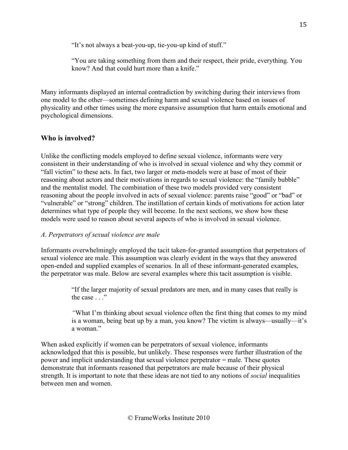"It's not always a beat-you-up, tie-you-up kind of stuff."

"You are taking something from them and their respect, their pride, everything. You know? And that could hurt more than a knife."

Many informants displayed an internal contradiction by switching during their interviews from one model to the other—sometimes defining harm and sexual violence based on issues of physicality and other times using the more expansive assumption that harm entails emotional and psychological dimensions.

## **Who is involved?**

Unlike the conflicting models employed to define sexual violence, informants were very consistent in their understanding of who is involved in sexual violence and why they commit or "fall victim" to these acts. In fact, two larger or meta-models were at base of most of their reasoning about actors and their motivations in regards to sexual violence: the "family bubble" and the mentalist model. The combination of these two models provided very consistent reasoning about the people involved in acts of sexual violence: parents raise "good" or "bad" or "vulnerable" or "strong" children. The instillation of certain kinds of motivations for action later determines what type of people they will become. In the next sections, we show how these models were used to reason about several aspects of who is involved in sexual violence.

#### *A. Perpetrators of sexual violence are male*

Informants overwhelmingly employed the tacit taken-for-granted assumption that perpetrators of sexual violence are male. This assumption was clearly evident in the ways that they answered open-ended and supplied examples of scenarios. In all of these informant-generated examples, the perpetrator was male. Below are several examples where this tacit assumption is visible.

> "If the larger majority of sexual predators are men, and in many cases that really is the case . . ."

*"*What I'm thinking about sexual violence often the first thing that comes to my mind is a woman, being beat up by a man, you know? The victim is always—usually—it's a woman."

When asked explicitly if women can be perpetrators of sexual violence, informants acknowledged that this is possible, but unlikely. These responses were further illustration of the power and implicit understanding that sexual violence perpetrator = male. These quotes demonstrate that informants reasoned that perpetrators are male because of their physical strength. It is important to note that these ideas are not tied to any notions of *social* inequalities between men and women.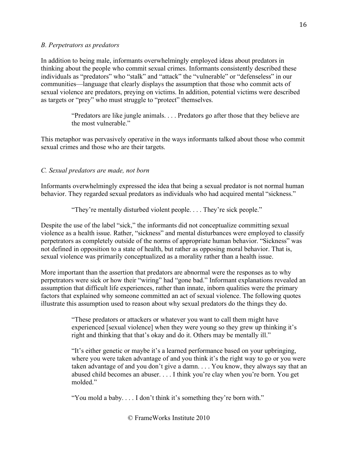#### *B. Perpetrators as predators*

In addition to being male, informants overwhelmingly employed ideas about predators in thinking about the people who commit sexual crimes. Informants consistently described these individuals as "predators" who "stalk" and "attack" the "vulnerable" or "defenseless" in our communities—language that clearly displays the assumption that those who commit acts of sexual violence are predators, preying on victims. In addition, potential victims were described as targets or "prey" who must struggle to "protect" themselves.

> "Predators are like jungle animals. . . . Predators go after those that they believe are the most vulnerable."

This metaphor was pervasively operative in the ways informants talked about those who commit sexual crimes and those who are their targets.

### *C. Sexual predators are made, not born*

Informants overwhelmingly expressed the idea that being a sexual predator is not normal human behavior. They regarded sexual predators as individuals who had acquired mental "sickness."

"They're mentally disturbed violent people. . . . They're sick people."

Despite the use of the label "sick," the informants did not conceptualize committing sexual violence as a health issue. Rather, "sickness" and mental disturbances were employed to classify perpetrators as completely outside of the norms of appropriate human behavior. "Sickness" was not defined in opposition to a state of health, but rather as opposing moral behavior. That is, sexual violence was primarily conceptualized as a morality rather than a health issue.

More important than the assertion that predators are abnormal were the responses as to why perpetrators were sick or how their "wiring" had "gone bad." Informant explanations revealed an assumption that difficult life experiences, rather than innate, inborn qualities were the primary factors that explained why someone committed an act of sexual violence. The following quotes illustrate this assumption used to reason about why sexual predators do the things they do.

> "These predators or attackers or whatever you want to call them might have experienced [sexual violence] when they were young so they grew up thinking it's right and thinking that that's okay and do it. Others may be mentally ill."

"It's either genetic or maybe it's a learned performance based on your upbringing, where you were taken advantage of and you think it's the right way to go or you were taken advantage of and you don't give a damn. . . . You know, they always say that an abused child becomes an abuser. . . . I think you're clay when you're born. You get molded."

"You mold a baby. . . . I don't think it's something they're born with."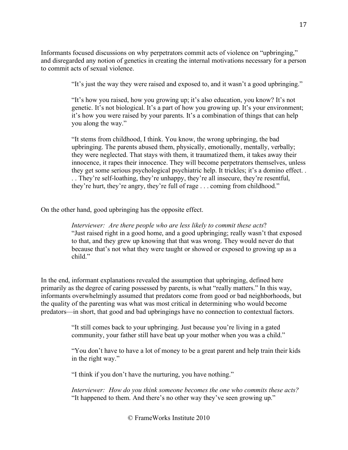Informants focused discussions on why perpetrators commit acts of violence on "upbringing," and disregarded any notion of genetics in creating the internal motivations necessary for a person to commit acts of sexual violence.

"It's just the way they were raised and exposed to, and it wasn't a good upbringing."

"It's how you raised, how you growing up; it's also education, you know? It's not genetic. It's not biological. It's a part of how you growing up. It's your environment; it's how you were raised by your parents. It's a combination of things that can help you along the way."

"It stems from childhood, I think. You know, the wrong upbringing, the bad upbringing. The parents abused them, physically, emotionally, mentally, verbally; they were neglected. That stays with them, it traumatized them, it takes away their innocence, it rapes their innocence. They will become perpetrators themselves, unless they get some serious psychological psychiatric help. It trickles; it's a domino effect. . . . They're self-loathing, they're unhappy, they're all insecure, they're resentful, they're hurt, they're angry, they're full of rage . . . coming from childhood."

On the other hand, good upbringing has the opposite effect.

*Interviewer: Are there people who are less likely to commit these acts*? "Just raised right in a good home, and a good upbringing; really wasn't that exposed to that, and they grew up knowing that that was wrong. They would never do that because that's not what they were taught or showed or exposed to growing up as a child."

In the end, informant explanations revealed the assumption that upbringing, defined here primarily as the degree of caring possessed by parents, is what "really matters." In this way, informants overwhelmingly assumed that predators come from good or bad neighborhoods, but the quality of the parenting was what was most critical in determining who would become predators—in short, that good and bad upbringings have no connection to contextual factors.

> "It still comes back to your upbringing. Just because you're living in a gated community, your father still have beat up your mother when you was a child."

"You don't have to have a lot of money to be a great parent and help train their kids in the right way."

"I think if you don't have the nurturing, you have nothing."

*Interviewer: How do you think someone becomes the one who commits these acts?* "It happened to them. And there's no other way they've seen growing up."

17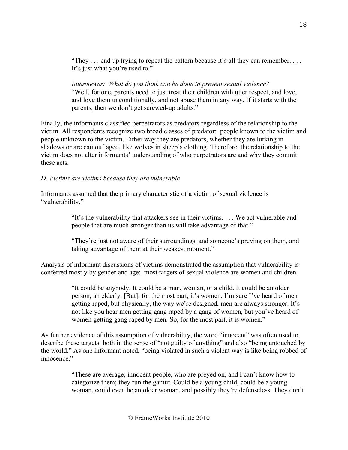"They  $\dots$  end up trying to repeat the pattern because it's all they can remember.  $\dots$ It's just what you're used to."

*Interviewer: What do you think can be done to prevent sexual violence?* "Well, for one, parents need to just treat their children with utter respect, and love, and love them unconditionally, and not abuse them in any way. If it starts with the parents, then we don't get screwed-up adults."

Finally, the informants classified perpetrators as predators regardless of the relationship to the victim. All respondents recognize two broad classes of predator: people known to the victim and people unknown to the victim. Either way they are predators, whether they are lurking in shadows or are camouflaged, like wolves in sheep's clothing. Therefore, the relationship to the victim does not alter informants' understanding of who perpetrators are and why they commit these acts.

#### *D. Victims are victims because they are vulnerable*

Informants assumed that the primary characteristic of a victim of sexual violence is "vulnerability."

> "It's the vulnerability that attackers see in their victims. . . . We act vulnerable and people that are much stronger than us will take advantage of that."

"They're just not aware of their surroundings, and someone's preying on them, and taking advantage of them at their weakest moment."

Analysis of informant discussions of victims demonstrated the assumption that vulnerability is conferred mostly by gender and age: most targets of sexual violence are women and children.

> "It could be anybody. It could be a man, woman, or a child. It could be an older person, an elderly. [But], for the most part, it's women. I'm sure I've heard of men getting raped, but physically, the way we're designed, men are always stronger. It's not like you hear men getting gang raped by a gang of women, but you've heard of women getting gang raped by men. So, for the most part, it is women."

As further evidence of this assumption of vulnerability, the word "innocent" was often used to describe these targets, both in the sense of "not guilty of anything" and also "being untouched by the world." As one informant noted, "being violated in such a violent way is like being robbed of innocence"

> "These are average, innocent people, who are preyed on, and I can't know how to categorize them; they run the gamut. Could be a young child, could be a young woman, could even be an older woman, and possibly they're defenseless. They don't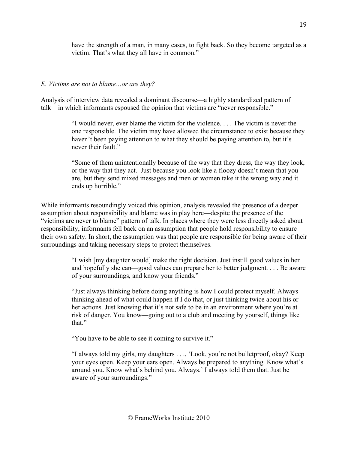have the strength of a man, in many cases, to fight back. So they become targeted as a victim. That's what they all have in common."

#### *E. Victims are not to blame…or are they?*

Analysis of interview data revealed a dominant discourse—a highly standardized pattern of talk—in which informants espoused the opinion that victims are "never responsible."

> "I would never, ever blame the victim for the violence. . . . The victim is never the one responsible. The victim may have allowed the circumstance to exist because they haven't been paying attention to what they should be paying attention to, but it's never their fault."

> "Some of them unintentionally because of the way that they dress, the way they look, or the way that they act. Just because you look like a floozy doesn't mean that you are, but they send mixed messages and men or women take it the wrong way and it ends up horrible."

While informants resoundingly voiced this opinion, analysis revealed the presence of a deeper assumption about responsibility and blame was in play here—despite the presence of the "victims are never to blame" pattern of talk. In places where they were less directly asked about responsibility, informants fell back on an assumption that people hold responsibility to ensure their own safety. In short, the assumption was that people are responsible for being aware of their surroundings and taking necessary steps to protect themselves.

> "I wish [my daughter would] make the right decision. Just instill good values in her and hopefully she can—good values can prepare her to better judgment. . . . Be aware of your surroundings, and know your friends."

"Just always thinking before doing anything is how I could protect myself. Always thinking ahead of what could happen if I do that, or just thinking twice about his or her actions. Just knowing that it's not safe to be in an environment where you're at risk of danger. You know—going out to a club and meeting by yourself, things like that."

"You have to be able to see it coming to survive it."

"I always told my girls, my daughters . . ., 'Look, you're not bulletproof, okay? Keep your eyes open. Keep your ears open. Always be prepared to anything. Know what's around you. Know what's behind you. Always.' I always told them that. Just be aware of your surroundings."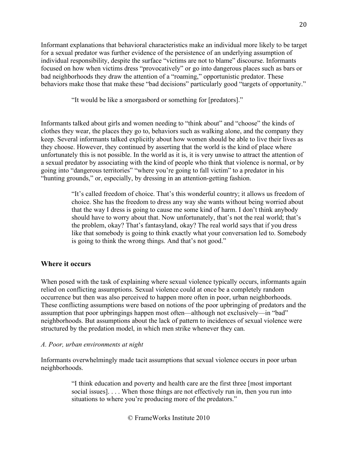Informant explanations that behavioral characteristics make an individual more likely to be target for a sexual predator was further evidence of the persistence of an underlying assumption of individual responsibility, despite the surface "victims are not to blame" discourse. Informants focused on how when victims dress "provocatively" or go into dangerous places such as bars or bad neighborhoods they draw the attention of a "roaming," opportunistic predator. These behaviors make those that make these "bad decisions" particularly good "targets of opportunity."

"It would be like a smorgasbord or something for [predators]."

Informants talked about girls and women needing to "think about" and "choose" the kinds of clothes they wear, the places they go to, behaviors such as walking alone, and the company they keep. Several informants talked explicitly about how women should be able to live their lives as they choose. However, they continued by asserting that the world is the kind of place where unfortunately this is not possible. In the world as it is, it is very unwise to attract the attention of a sexual predator by associating with the kind of people who think that violence is normal, or by going into "dangerous territories" "where you're going to fall victim" to a predator in his "hunting grounds," or, especially, by dressing in an attention-getting fashion.

> "It's called freedom of choice. That's this wonderful country; it allows us freedom of choice. She has the freedom to dress any way she wants without being worried about that the way I dress is going to cause me some kind of harm. I don't think anybody should have to worry about that. Now unfortunately, that's not the real world; that's the problem, okay? That's fantasyland, okay? The real world says that if you dress like that somebody is going to think exactly what your conversation led to. Somebody is going to think the wrong things. And that's not good."

#### **Where it occurs**

When posed with the task of explaining where sexual violence typically occurs, informants again relied on conflicting assumptions. Sexual violence could at once be a completely random occurrence but then was also perceived to happen more often in poor, urban neighborhoods. These conflicting assumptions were based on notions of the poor upbringing of predators and the assumption that poor upbringings happen most often—although not exclusively—in "bad" neighborhoods. But assumptions about the lack of pattern to incidences of sexual violence were structured by the predation model, in which men strike whenever they can.

#### *A. Poor, urban environments at night*

Informants overwhelmingly made tacit assumptions that sexual violence occurs in poor urban neighborhoods.

> "I think education and poverty and health care are the first three [most important social issues]. . . . When those things are not effectively run in, then you run into situations to where you're producing more of the predators."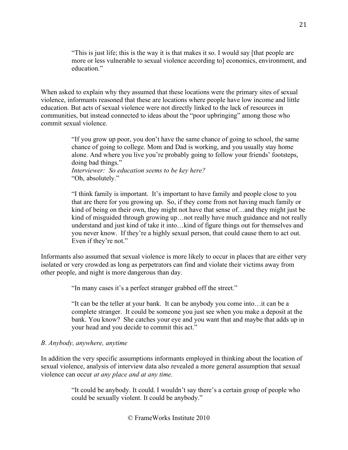"This is just life; this is the way it is that makes it so. I would say [that people are more or less vulnerable to sexual violence according to] economics, environment, and education."

When asked to explain why they assumed that these locations were the primary sites of sexual violence, informants reasoned that these are locations where people have low income and little education. But acts of sexual violence were not directly linked to the lack of resources in communities, but instead connected to ideas about the "poor upbringing" among those who commit sexual violence.

> "If you grow up poor, you don't have the same chance of going to school, the same chance of going to college. Mom and Dad is working, and you usually stay home alone. And where you live you're probably going to follow your friends' footsteps, doing bad things."

*Interviewer: So education seems to be key here?* "Oh, absolutely."

"I think family is important. It's important to have family and people close to you that are there for you growing up. So, if they come from not having much family or kind of being on their own, they might not have that sense of…and they might just be kind of misguided through growing up…not really have much guidance and not really understand and just kind of take it into…kind of figure things out for themselves and you never know. If they're a highly sexual person, that could cause them to act out. Even if they're not."

Informants also assumed that sexual violence is more likely to occur in places that are either very isolated or very crowded as long as perpetrators can find and violate their victims away from other people, and night is more dangerous than day.

"In many cases it's a perfect stranger grabbed off the street."

"It can be the teller at your bank. It can be anybody you come into…it can be a complete stranger. It could be someone you just see when you make a deposit at the bank. You know? She catches your eye and you want that and maybe that adds up in your head and you decide to commit this act."

#### *B. Anybody, anywhere, anytime*

In addition the very specific assumptions informants employed in thinking about the location of sexual violence, analysis of interview data also revealed a more general assumption that sexual violence can occur *at any place and at any time.* 

> "It could be anybody. It could. I wouldn't say there's a certain group of people who could be sexually violent. It could be anybody."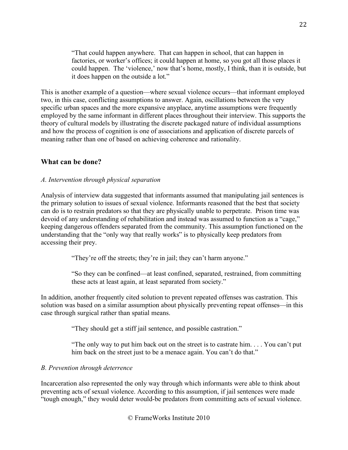"That could happen anywhere. That can happen in school, that can happen in factories, or worker's offices; it could happen at home, so you got all those places it could happen. The 'violence,' now that's home, mostly, I think, than it is outside, but it does happen on the outside a lot."

This is another example of a question—where sexual violence occurs—that informant employed two, in this case, conflicting assumptions to answer. Again, oscillations between the very specific urban spaces and the more expansive anyplace, anytime assumptions were frequently employed by the same informant in different places throughout their interview. This supports the theory of cultural models by illustrating the discrete packaged nature of individual assumptions and how the process of cognition is one of associations and application of discrete parcels of meaning rather than one of based on achieving coherence and rationality.

#### **What can be done?**

#### *A. Intervention through physical separation*

Analysis of interview data suggested that informants assumed that manipulating jail sentences is the primary solution to issues of sexual violence. Informants reasoned that the best that society can do is to restrain predators so that they are physically unable to perpetrate. Prison time was devoid of any understanding of rehabilitation and instead was assumed to function as a "cage," keeping dangerous offenders separated from the community. This assumption functioned on the understanding that the "only way that really works" is to physically keep predators from accessing their prey.

"They're off the streets; they're in jail; they can't harm anyone."

"So they can be confined—at least confined, separated, restrained, from committing these acts at least again, at least separated from society."

In addition, another frequently cited solution to prevent repeated offenses was castration. This solution was based on a similar assumption about physically preventing repeat offenses—in this case through surgical rather than spatial means.

"They should get a stiff jail sentence, and possible castration."

"The only way to put him back out on the street is to castrate him. . . . You can't put him back on the street just to be a menace again. You can't do that."

#### *B. Prevention through deterrence*

Incarceration also represented the only way through which informants were able to think about preventing acts of sexual violence. According to this assumption, if jail sentences were made "tough enough," they would deter would-be predators from committing acts of sexual violence.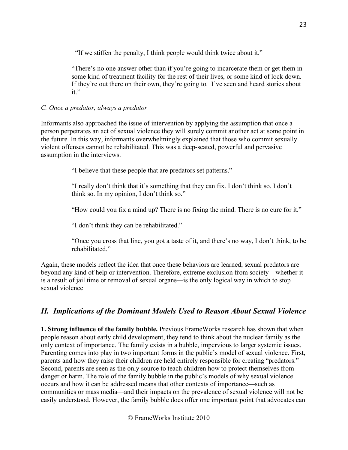"If we stiffen the penalty, I think people would think twice about it."

"There's no one answer other than if you're going to incarcerate them or get them in some kind of treatment facility for the rest of their lives, or some kind of lock down. If they're out there on their own, they're going to. I've seen and heard stories about it."

### *C. Once a predator, always a predator*

Informants also approached the issue of intervention by applying the assumption that once a person perpetrates an act of sexual violence they will surely commit another act at some point in the future. In this way, informants overwhelmingly explained that those who commit sexually violent offenses cannot be rehabilitated. This was a deep-seated, powerful and pervasive assumption in the interviews.

"I believe that these people that are predators set patterns."

"I really don't think that it's something that they can fix. I don't think so. I don't think so. In my opinion, I don't think so."

"How could you fix a mind up? There is no fixing the mind. There is no cure for it."

"I don't think they can be rehabilitated."

"Once you cross that line, you got a taste of it, and there's no way, I don't think, to be rehabilitated."

Again, these models reflect the idea that once these behaviors are learned, sexual predators are beyond any kind of help or intervention. Therefore, extreme exclusion from society—whether it is a result of jail time or removal of sexual organs—is the only logical way in which to stop sexual violence

# *II. Implications of the Dominant Models Used to Reason About Sexual Violence*

**1. Strong influence of the family bubble.** Previous FrameWorks research has shown that when people reason about early child development, they tend to think about the nuclear family as the only context of importance. The family exists in a bubble, impervious to larger systemic issues. Parenting comes into play in two important forms in the public's model of sexual violence. First, parents and how they raise their children are held entirely responsible for creating "predators." Second, parents are seen as the only source to teach children how to protect themselves from danger or harm. The role of the family bubble in the public's models of why sexual violence occurs and how it can be addressed means that other contexts of importance—such as communities or mass media—and their impacts on the prevalence of sexual violence will not be easily understood. However, the family bubble does offer one important point that advocates can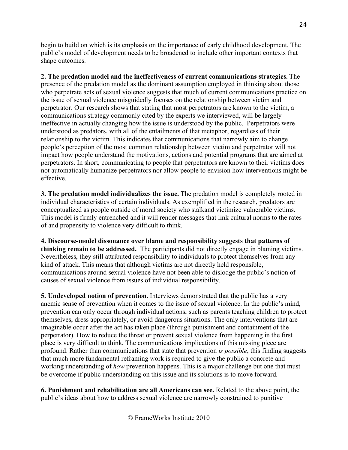begin to build on which is its emphasis on the importance of early childhood development. The public's model of development needs to be broadened to include other important contexts that shape outcomes.

**2. The predation model and the ineffectiveness of current communications strategies.** The presence of the predation model as the dominant assumption employed in thinking about those who perpetrate acts of sexual violence suggests that much of current communications practice on the issue of sexual violence misguidedly focuses on the relationship between victim and perpetrator. Our research shows that stating that most perpetrators are known to the victim, a communications strategy commonly cited by the experts we interviewed, will be largely ineffective in actually changing how the issue is understood by the public. Perpetrators were understood as predators, with all of the entailments of that metaphor, regardless of their relationship to the victim. This indicates that communications that narrowly aim to change people's perception of the most common relationship between victim and perpetrator will not impact how people understand the motivations, actions and potential programs that are aimed at perpetrators. In short, communicating to people that perpetrators are known to their victims does not automatically humanize perpetrators nor allow people to envision how interventions might be effective.

**3. The predation model individualizes the issue.** The predation model is completely rooted in individual characteristics of certain individuals. As exemplified in the research, predators are conceptualized as people outside of moral society who stalkand victimize vulnerable victims. This model is firmly entrenched and it will render messages that link cultural norms to the rates of and propensity to violence very difficult to think.

**4. Discourse-model dissonance over blame and responsibility suggests that patterns of thinking remain to be addressed.** The participants did not directly engage in blaming victims. Nevertheless, they still attributed responsibility to individuals to protect themselves from any kind of attack. This means that although victims are not directly held responsible, communications around sexual violence have not been able to dislodge the public's notion of causes of sexual violence from issues of individual responsibility.

**5. Undeveloped notion of prevention.** Interviews demonstrated that the public has a very anemic sense of prevention when it comes to the issue of sexual violence. In the public's mind, prevention can only occur through individual actions, such as parents teaching children to protect themselves, dress appropriately, or avoid dangerous situations. The only interventions that are imaginable occur after the act has taken place (through punishment and containment of the perpetrator). How to reduce the threat or prevent sexual violence from happening in the first place is very difficult to think. The communications implications of this missing piece are profound. Rather than communications that state that prevention *is possible*, this finding suggests that much more fundamental reframing work is required to give the public a concrete and working understanding of *how* prevention happens. This is a major challenge but one that must be overcome if public understanding on this issue and its solutions is to move forward.

**6. Punishment and rehabilitation are all Americans can see.** Related to the above point, the public's ideas about how to address sexual violence are narrowly constrained to punitive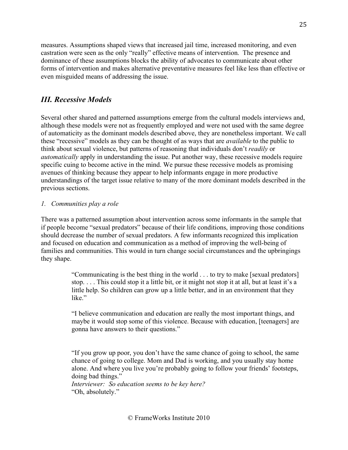measures. Assumptions shaped views that increased jail time, increased monitoring, and even castration were seen as the only "really" effective means of intervention. The presence and dominance of these assumptions blocks the ability of advocates to communicate about other forms of intervention and makes alternative preventative measures feel like less than effective or even misguided means of addressing the issue.

## *III. Recessive Models*

Several other shared and patterned assumptions emerge from the cultural models interviews and, although these models were not as frequently employed and were not used with the same degree of automaticity as the dominant models described above, they are nonetheless important. We call these "recessive" models as they can be thought of as ways that are *available* to the public to think about sexual violence, but patterns of reasoning that individuals don't *readily* or *automatically* apply in understanding the issue. Put another way, these recessive models require specific cuing to become active in the mind. We pursue these recessive models as promising avenues of thinking because they appear to help informants engage in more productive understandings of the target issue relative to many of the more dominant models described in the previous sections.

### *1. Communities play a role*

There was a patterned assumption about intervention across some informants in the sample that if people become "sexual predators" because of their life conditions, improving those conditions should decrease the number of sexual predators. A few informants recognized this implication and focused on education and communication as a method of improving the well-being of families and communities. This would in turn change social circumstances and the upbringings they shape.

> "Communicating is the best thing in the world . . . to try to make [sexual predators] stop. . . . This could stop it a little bit, or it might not stop it at all, but at least it's a little help. So children can grow up a little better, and in an environment that they like."

> "I believe communication and education are really the most important things, and maybe it would stop some of this violence. Because with education, [teenagers] are gonna have answers to their questions."

> "If you grow up poor, you don't have the same chance of going to school, the same chance of going to college. Mom and Dad is working, and you usually stay home alone. And where you live you're probably going to follow your friends' footsteps, doing bad things."

*Interviewer: So education seems to be key here?* "Oh, absolutely."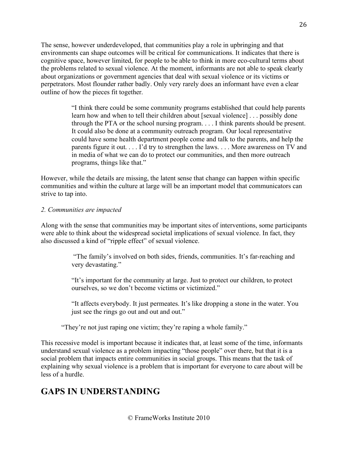The sense, however underdeveloped, that communities play a role in upbringing and that environments can shape outcomes will be critical for communications. It indicates that there is cognitive space, however limited, for people to be able to think in more eco-cultural terms about the problems related to sexual violence. At the moment, informants are not able to speak clearly about organizations or government agencies that deal with sexual violence or its victims or perpetrators. Most flounder rather badly. Only very rarely does an informant have even a clear outline of how the pieces fit together.

> "I think there could be some community programs established that could help parents learn how and when to tell their children about [sexual violence] . . . possibly done through the PTA or the school nursing program. . . . I think parents should be present. It could also be done at a community outreach program. Our local representative could have some health department people come and talk to the parents, and help the parents figure it out. . . . I'd try to strengthen the laws. . . . More awareness on TV and in media of what we can do to protect our communities, and then more outreach programs, things like that."

However, while the details are missing, the latent sense that change can happen within specific communities and within the culture at large will be an important model that communicators can strive to tap into.

#### *2. Communities are impacted*

Along with the sense that communities may be important sites of interventions, some participants were able to think about the widespread societal implications of sexual violence. In fact, they also discussed a kind of "ripple effect" of sexual violence.

> "The family's involved on both sides, friends, communities. It's far-reaching and very devastating."

"It's important for the community at large. Just to protect our children, to protect ourselves, so we don't become victims or victimized."

"It affects everybody. It just permeates. It's like dropping a stone in the water. You just see the rings go out and out and out."

"They're not just raping one victim; they're raping a whole family."

This recessive model is important because it indicates that, at least some of the time, informants understand sexual violence as a problem impacting "those people" over there, but that it is a social problem that impacts entire communities in social groups. This means that the task of explaining why sexual violence is a problem that is important for everyone to care about will be less of a hurdle.

# **GAPS IN UNDERSTANDING**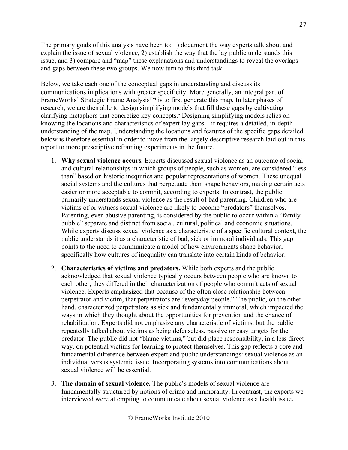The primary goals of this analysis have been to: 1) document the way experts talk about and explain the issue of sexual violence, 2) establish the way that the lay public understands this issue, and 3) compare and "map" these explanations and understandings to reveal the overlaps and gaps between these two groups. We now turn to this third task.

Below, we take each one of the conceptual gaps in understanding and discuss its communications implications with greater specificity. More generally, an integral part of FrameWorks' Strategic Frame Analysis™ is to first generate this map. In later phases of research, we are then able to design simplifying models that fill these gaps by cultivating clarifying metaphors that concretize key concepts.<sup>x</sup> Designing simplifying models relies on knowing the locations and characteristics of expert-lay gaps—it requires a detailed, in-depth understanding of the map. Understanding the locations and features of the specific gaps detailed below is therefore essential in order to move from the largely descriptive research laid out in this report to more prescriptive reframing experiments in the future.

- 1. **Why sexual violence occurs.** Experts discussed sexual violence as an outcome of social and cultural relationships in which groups of people, such as women, are considered "less than" based on historic inequities and popular representations of women. These unequal social systems and the cultures that perpetuate them shape behaviors, making certain acts easier or more acceptable to commit, according to experts. In contrast, the public primarily understands sexual violence as the result of bad parenting. Children who are victims of or witness sexual violence are likely to become "predators" themselves. Parenting, even abusive parenting, is considered by the public to occur within a "family bubble" separate and distinct from social, cultural, political and economic situations. While experts discuss sexual violence as a characteristic of a specific cultural context, the public understands it as a characteristic of bad, sick or immoral individuals. This gap points to the need to communicate a model of how environments shape behavior, specifically how cultures of inequality can translate into certain kinds of behavior.
- 2. **Characteristics of victims and predators.** While both experts and the public acknowledged that sexual violence typically occurs between people who are known to each other, they differed in their characterization of people who commit acts of sexual violence. Experts emphasized that because of the often close relationship between perpetrator and victim, that perpetrators are "everyday people." The public, on the other hand, characterized perpetrators as sick and fundamentally immoral, which impacted the ways in which they thought about the opportunities for prevention and the chance of rehabilitation. Experts did not emphasize any characteristic of victims, but the public repeatedly talked about victims as being defenseless, passive or easy targets for the predator. The public did not "blame victims," but did place responsibility, in a less direct way, on potential victims for learning to protect themselves. This gap reflects a core and fundamental difference between expert and public understandings: sexual violence as an individual versus systemic issue. Incorporating systems into communications about sexual violence will be essential.
- 3. **The domain of sexual violence.** The public's models of sexual violence are fundamentally structured by notions of crime and immorality. In contrast, the experts we interviewed were attempting to communicate about sexual violence as a health issue**.**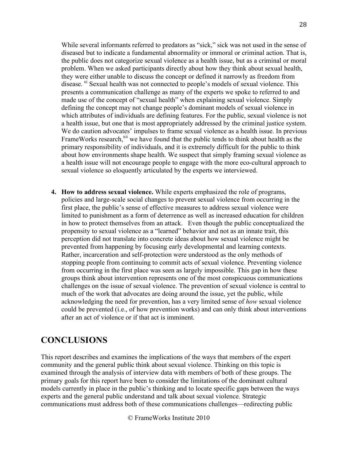While several informants referred to predators as "sick," sick was not used in the sense of diseased but to indicate a fundamental abnormality or immoral or criminal action. That is, the public does not categorize sexual violence as a health issue, but as a criminal or moral problem. When we asked participants directly about how they think about sexual health, they were either unable to discuss the concept or defined it narrowly as freedom from disease. <sup>XI</sup> Sexual health was not connected to people's models of sexual violence. This presents a communication challenge as many of the experts we spoke to referred to and made use of the concept of "sexual health" when explaining sexual violence. Simply defining the concept may not change people's dominant models of sexual violence in which attributes of individuals are defining features. For the public, sexual violence is not a health issue, but one that is most appropriately addressed by the criminal justice system. We do caution advocates' impulses to frame sexual violence as a health issue. In previous FrameWorks research,<sup>xii</sup> we have found that the public tends to think about health as the primary responsibility of individuals, and it is extremely difficult for the public to think about how environments shape health. We suspect that simply framing sexual violence as a health issue will not encourage people to engage with the more eco-cultural approach to sexual violence so eloquently articulated by the experts we interviewed.

**4. How to address sexual violence.** While experts emphasized the role of programs, policies and large-scale social changes to prevent sexual violence from occurring in the first place, the public's sense of effective measures to address sexual violence were limited to punishment as a form of deterrence as well as increased education for children in how to protect themselves from an attack. Even though the public conceptualized the propensity to sexual violence as a "learned" behavior and not as an innate trait, this perception did not translate into concrete ideas about how sexual violence might be prevented from happening by focusing early developmental and learning contexts. Rather, incarceration and self-protection were understood as the only methods of stopping people from continuing to commit acts of sexual violence. Preventing violence from occurring in the first place was seen as largely impossible. This gap in how these groups think about intervention represents one of the most conspicuous communications challenges on the issue of sexual violence. The prevention of sexual violence is central to much of the work that advocates are doing around the issue, yet the public, while acknowledging the need for prevention, has a very limited sense of *how* sexual violence could be prevented (i.e., of how prevention works) and can only think about interventions after an act of violence or if that act is imminent.

# **CONCLUSIONS**

This report describes and examines the implications of the ways that members of the expert community and the general public think about sexual violence. Thinking on this topic is examined through the analysis of interview data with members of both of these groups. The primary goals for this report have been to consider the limitations of the dominant cultural models currently in place in the public's thinking and to locate specific gaps between the ways experts and the general public understand and talk about sexual violence. Strategic communications must address both of these communications challenges—redirecting public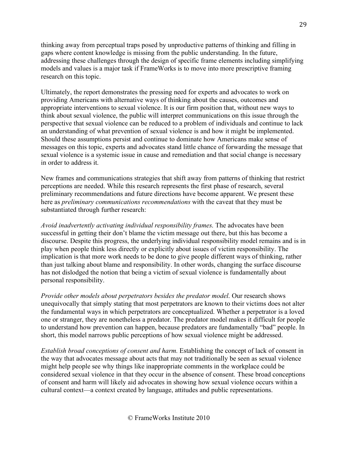thinking away from perceptual traps posed by unproductive patterns of thinking and filling in gaps where content knowledge is missing from the public understanding. In the future, addressing these challenges through the design of specific frame elements including simplifying models and values is a major task if FrameWorks is to move into more prescriptive framing research on this topic.

Ultimately, the report demonstrates the pressing need for experts and advocates to work on providing Americans with alternative ways of thinking about the causes, outcomes and appropriate interventions to sexual violence. It is our firm position that, without new ways to think about sexual violence, the public will interpret communications on this issue through the perspective that sexual violence can be reduced to a problem of individuals and continue to lack an understanding of what prevention of sexual violence is and how it might be implemented. Should these assumptions persist and continue to dominate how Americans make sense of messages on this topic, experts and advocates stand little chance of forwarding the message that sexual violence is a systemic issue in cause and remediation and that social change is necessary in order to address it.

New frames and communications strategies that shift away from patterns of thinking that restrict perceptions are needed. While this research represents the first phase of research, several preliminary recommendations and future directions have become apparent. We present these here as *preliminary communications recommendations* with the caveat that they must be substantiated through further research:

*Avoid inadvertently activating individual responsibility frames*. The advocates have been successful in getting their don't blame the victim message out there, but this has become a discourse. Despite this progress, the underlying individual responsibility model remains and is in play when people think less directly or explicitly about issues of victim responsibility. The implication is that more work needs to be done to give people different ways of thinking, rather than just talking about blame and responsibility. In other words, changing the surface discourse has not dislodged the notion that being a victim of sexual violence is fundamentally about personal responsibility.

*Provide other models about perpetrators besides the predator model*. Our research shows unequivocally that simply stating that most perpetrators are known to their victims does not alter the fundamental ways in which perpetrators are conceptualized. Whether a perpetrator is a loved one or stranger, they are nonetheless a predator. The predator model makes it difficult for people to understand how prevention can happen, because predators are fundamentally "bad" people. In short, this model narrows public perceptions of how sexual violence might be addressed.

*Establish broad conceptions of consent and harm.* Establishing the concept of lack of consent in the way that advocates message about acts that may not traditionally be seen as sexual violence might help people see why things like inappropriate comments in the workplace could be considered sexual violence in that they occur in the absence of consent. These broad conceptions of consent and harm will likely aid advocates in showing how sexual violence occurs within a cultural context—a context created by language, attitudes and public representations.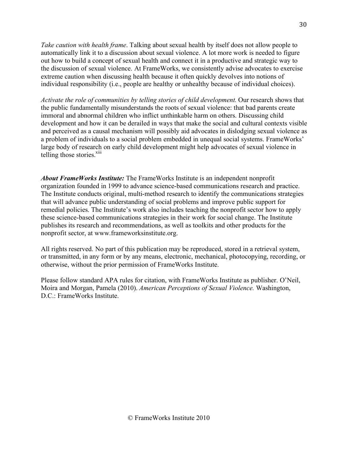*Take caution with health frame*. Talking about sexual health by itself does not allow people to automatically link it to a discussion about sexual violence. A lot more work is needed to figure out how to build a concept of sexual health and connect it in a productive and strategic way to the discussion of sexual violence. At FrameWorks, we consistently advise advocates to exercise extreme caution when discussing health because it often quickly devolves into notions of individual responsibility (i.e., people are healthy or unhealthy because of individual choices).

*Activate the role of communities by telling stories of child development.* Our research shows that the public fundamentally misunderstands the roots of sexual violence: that bad parents create immoral and abnormal children who inflict unthinkable harm on others. Discussing child development and how it can be derailed in ways that make the social and cultural contexts visible and perceived as a causal mechanism will possibly aid advocates in dislodging sexual violence as a problem of individuals to a social problem embedded in unequal social systems. FrameWorks' large body of research on early child development might help advocates of sexual violence in telling those stories.<sup>xiii</sup>

*About FrameWorks Institute:* The FrameWorks Institute is an independent nonprofit organization founded in 1999 to advance science-based communications research and practice. The Institute conducts original, multi-method research to identify the communications strategies that will advance public understanding of social problems and improve public support for remedial policies. The Institute's work also includes teaching the nonprofit sector how to apply these science-based communications strategies in their work for social change. The Institute publishes its research and recommendations, as well as toolkits and other products for the nonprofit sector, at www.frameworksinstitute.org.

All rights reserved. No part of this publication may be reproduced, stored in a retrieval system, or transmitted, in any form or by any means, electronic, mechanical, photocopying, recording, or otherwise, without the prior permission of FrameWorks Institute.

Please follow standard APA rules for citation, with FrameWorks Institute as publisher. O'Neil, Moira and Morgan, Pamela (2010). *American Perceptions of Sexual Violence.* Washington, D.C.: FrameWorks Institute.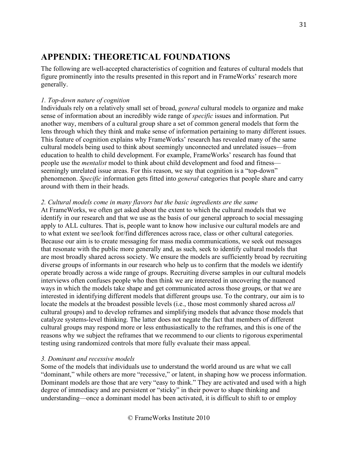# **APPENDIX: THEORETICAL FOUNDATIONS**

The following are well-accepted characteristics of cognition and features of cultural models that figure prominently into the results presented in this report and in FrameWorks' research more generally.

### *1. Top-down nature of cognition*

Individuals rely on a relatively small set of broad, *general* cultural models to organize and make sense of information about an incredibly wide range of *specific* issues and information. Put another way, members of a cultural group share a set of common general models that form the lens through which they think and make sense of information pertaining to many different issues. This feature of cognition explains why FrameWorks' research has revealed many of the same cultural models being used to think about seemingly unconnected and unrelated issues—from education to health to child development. For example, FrameWorks' research has found that people use the *mentalist* model to think about child development and food and fitness seemingly unrelated issue areas. For this reason, we say that cognition is a "top-down" phenomenon. *Specific* information gets fitted into *general* categories that people share and carry around with them in their heads.

### *2. Cultural models come in many flavors but the basic ingredients are the same*

At FrameWorks, we often get asked about the extent to which the cultural models that we identify in our research and that we use as the basis of our general approach to social messaging apply to ALL cultures. That is, people want to know how inclusive our cultural models are and to what extent we see/look for/find differences across race, class or other cultural categories. Because our aim is to create messaging for mass media communications, we seek out messages that resonate with the public more generally and, as such, seek to identify cultural models that are most broadly shared across society. We ensure the models are sufficiently broad by recruiting diverse groups of informants in our research who help us to confirm that the models we identify operate broadly across a wide range of groups. Recruiting diverse samples in our cultural models interviews often confuses people who then think we are interested in uncovering the nuanced ways in which the models take shape and get communicated across those groups, or that we are interested in identifying different models that different groups use. To the contrary, our aim is to locate the models at the broadest possible levels (i.e., those most commonly shared across *all* cultural groups) and to develop reframes and simplifying models that advance those models that catalyze systems-level thinking. The latter does not negate the fact that members of different cultural groups may respond more or less enthusiastically to the reframes, and this is one of the reasons why we subject the reframes that we recommend to our clients to rigorous experimental testing using randomized controls that more fully evaluate their mass appeal.

### *3. Dominant and recessive models*

Some of the models that individuals use to understand the world around us are what we call "dominant," while others are more "recessive," or latent, in shaping how we process information. Dominant models are those that are very "easy to think." They are activated and used with a high degree of immediacy and are persistent or "sticky" in their power to shape thinking and understanding—once a dominant model has been activated, it is difficult to shift to or employ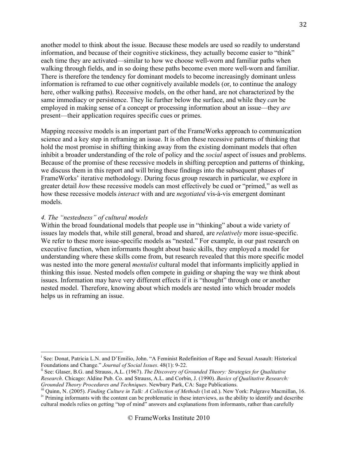another model to think about the issue. Because these models are used so readily to understand information, and because of their cognitive stickiness, they actually become easier to "think" each time they are activated—similar to how we choose well-worn and familiar paths when walking through fields, and in so doing these paths become even more well-worn and familiar. There is therefore the tendency for dominant models to become increasingly dominant unless information is reframed to cue other cognitively available models (or, to continue the analogy here, other walking paths). Recessive models, on the other hand, are not characterized by the same immediacy or persistence. They lie further below the surface, and while they *can* be employed in making sense of a concept or processing information about an issue—they *are* present—their application requires specific cues or primes.

Mapping recessive models is an important part of the FrameWorks approach to communication science and a key step in reframing an issue. It is often these recessive patterns of thinking that hold the most promise in shifting thinking away from the existing dominant models that often inhibit a broader understanding of the role of policy and the *social* aspect of issues and problems. Because of the promise of these recessive models in shifting perception and patterns of thinking, we discuss them in this report and will bring these findings into the subsequent phases of FrameWorks' iterative methodology. During focus group research in particular, we explore in greater detail *how* these recessive models can most effectively be cued or "primed," as well as how these recessive models *interact* with and are *negotiated* vis-à-vis emergent dominant models.

#### *4. The "nestedness" of cultural models*

Within the broad foundational models that people use in "thinking" about a wide variety of issues lay models that, while still general, broad and shared, are *relatively* more issue-specific. We refer to these more issue-specific models as "nested." For example, in our past research on executive function, when informants thought about basic skills, they employed a model for understanding where these skills come from, but research revealed that this more specific model was nested into the more general *mentalist* cultural model that informants implicitly applied in thinking this issue. Nested models often compete in guiding or shaping the way we think about issues. Information may have very different effects if it is "thought" through one or another nested model. Therefore, knowing about which models are nested into which broader models helps us in reframing an issue.

<sup>|&</sup>lt;br>i <sup>1</sup> See: Donat, Patricia L.N. and D'Emilio, John. "A Feminist Redefinition of Rape and Sexual Assault: Historical Foundations and Change." *Journal of Social Issues*. 48(1): 9-22.<br><sup>ii</sup> See: Glaser, B.G. and Strauss, A.L. (1967). *The Discovery of Grounded Theory: Strategies for Qualitative* 

*Research*. Chicago: Aldine Pub. Co. and Strauss, A.L. and Corbin, J. (1990). *Basics of Qualitative Research:* 

iii Quinn, N. (2005). *Finding Culture in Talk: A Collection of Methods* (1st ed.). New York: Palgrave Macmillan, 16. iv Priming informants with the content can be problematic in these interviews, as the ability to identify and describe

cultural models relies on getting "top of mind" answers and explanations from informants, rather than carefully